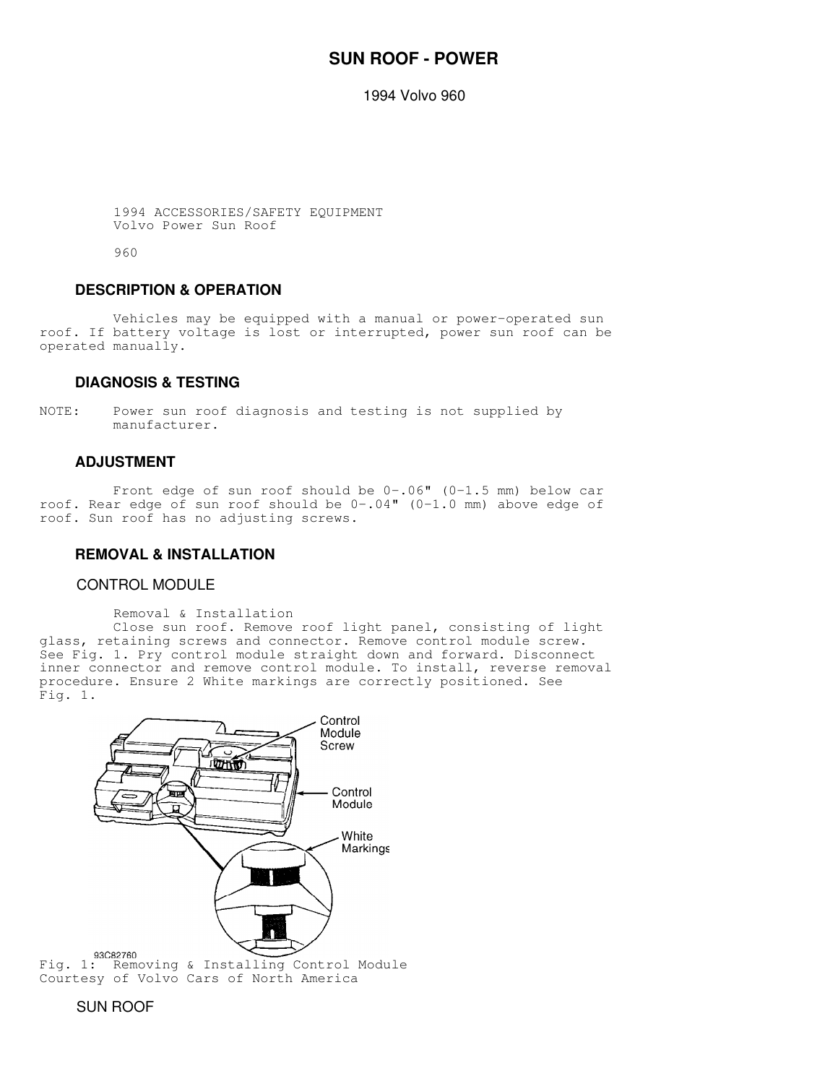# **SUN ROOF - POWER**

1994 Volvo 960

 1994 ACCESSORIES/SAFETY EQUIPMENT Volvo Power Sun Roof

960

### **DESCRIPTION & OPERATION**

 Vehicles may be equipped with a manual or power-operated sun roof. If battery voltage is lost or interrupted, power sun roof can be operated manually.

### **DIAGNOSIS & TESTING**

NOTE: Power sun roof diagnosis and testing is not supplied by manufacturer.

## **ADJUSTMENT**

 Front edge of sun roof should be 0-.06" (0-1.5 mm) below car roof. Rear edge of sun roof should be 0-.04" (0-1.0 mm) above edge of roof. Sun roof has no adjusting screws.

#### **REMOVAL & INSTALLATION**

#### CONTROL MODULE

Removal & Installation

 Close sun roof. Remove roof light panel, consisting of light glass, retaining screws and connector. Remove control module screw. See Fig. 1. Pry control module straight down and forward. Disconnect inner connector and remove control module. To install, reverse removal procedure. Ensure 2 White markings are correctly positioned. See Fig. 1.



Courtesy of Volvo Cars of North America

### SUN ROOF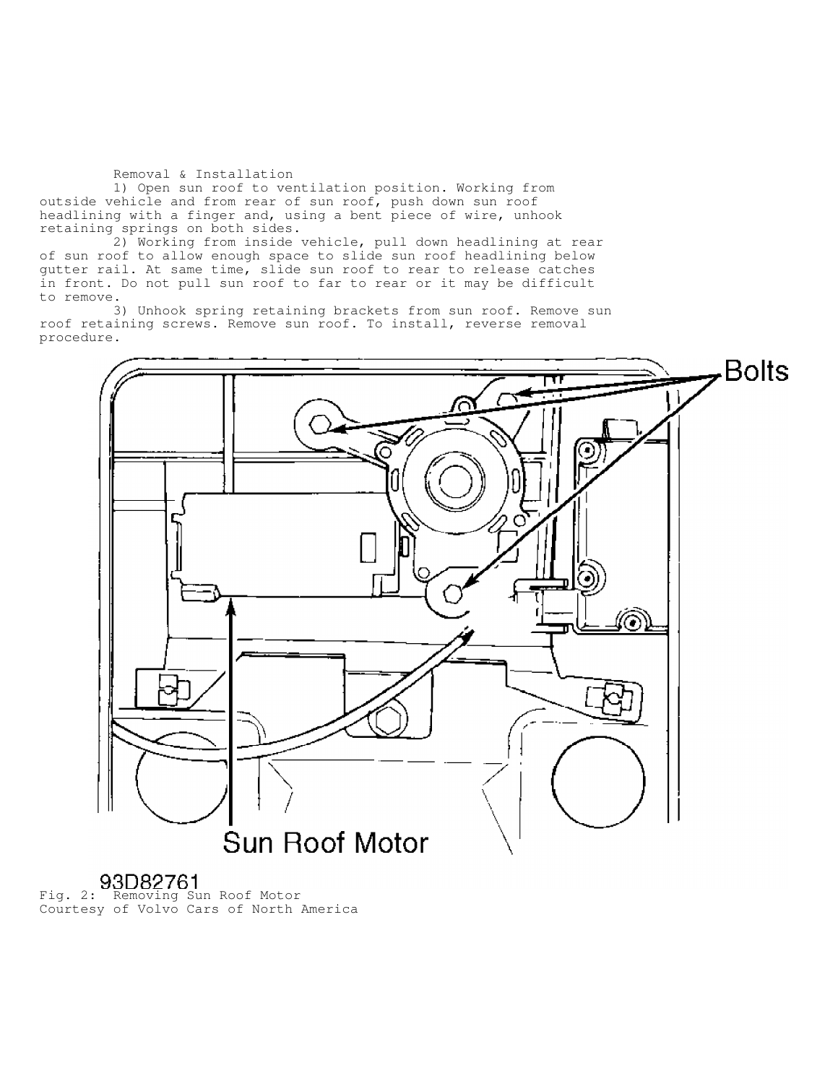Removal & Installation

 1) Open sun roof to ventilation position. Working from outside vehicle and from rear of sun roof, push down sun roof headlining with a finger and, using a bent piece of wire, unhook retaining springs on both sides.

 2) Working from inside vehicle, pull down headlining at rear of sun roof to allow enough space to slide sun roof headlining below gutter rail. At same time, slide sun roof to rear to release catches in front. Do not pull sun roof to far to rear or it may be difficult to remove.

 3) Unhook spring retaining brackets from sun roof. Remove sun roof retaining screws. Remove sun roof. To install, reverse removal procedure.



Fig. 2: Removing Sun Roof Motor Courtesy of Volvo Cars of North America